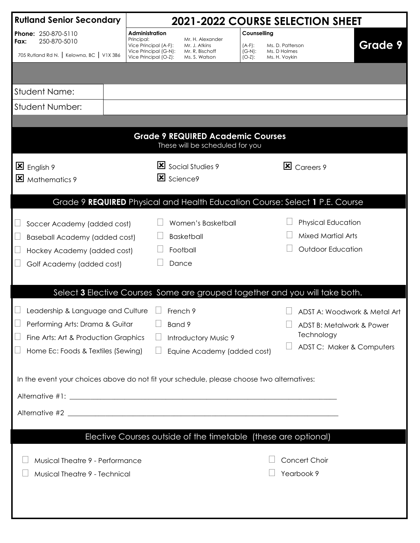| <b>Rutland Senior Secondary</b><br><b>2021-2022 COURSE SELECTION SHEET</b>                                                                         |                                                                                |                                                                        |                                                                        |                                                                                                      |                |  |
|----------------------------------------------------------------------------------------------------------------------------------------------------|--------------------------------------------------------------------------------|------------------------------------------------------------------------|------------------------------------------------------------------------|------------------------------------------------------------------------------------------------------|----------------|--|
| Phone: 250-870-5110<br>250-870-5010<br>Fax:                                                                                                        | Administration<br>Principal:<br>Vice Principal (A-F):<br>Vice Principal (G-N): | Mr. H. Alexander<br>Mr. J. Atkins<br>Mr. R, Bischoff                   | Counselling<br>(A-F):<br>Ms. D. Patterson<br>$(G-N)$ :<br>Ms. D Holmes |                                                                                                      | <b>Grade 9</b> |  |
| 705 Rutland Rd N.   Kelowna, BC   V1X 3B6                                                                                                          | Vice Principal (O-Z):                                                          | Ms. S. Watson                                                          | $(O-Z)$ :<br>Ms. H. Voykin                                             |                                                                                                      |                |  |
|                                                                                                                                                    |                                                                                |                                                                        |                                                                        |                                                                                                      |                |  |
| <b>Student Name:</b>                                                                                                                               |                                                                                |                                                                        |                                                                        |                                                                                                      |                |  |
| Student Number:                                                                                                                                    |                                                                                |                                                                        |                                                                        |                                                                                                      |                |  |
|                                                                                                                                                    |                                                                                |                                                                        |                                                                        |                                                                                                      |                |  |
| <b>Grade 9 REQUIRED Academic Courses</b><br>These will be scheduled for you                                                                        |                                                                                |                                                                        |                                                                        |                                                                                                      |                |  |
| English 9<br>$\mathbf{x}$<br>Mathematics 9                                                                                                         | Science9                                                                       | Social Studies 9                                                       |                                                                        | $\mathbf{\Sigma}$ Careers 9                                                                          |                |  |
|                                                                                                                                                    |                                                                                |                                                                        |                                                                        | Grade 9 REQUIRED Physical and Health Education Course: Select 1 P.E. Course                          |                |  |
| Soccer Academy (added cost)<br><b>Baseball Academy (added cost)</b><br>Hockey Academy (added cost)<br>Golf Academy (added cost)                    |                                                                                | Women's Basketball<br><b>Basketball</b><br>Football<br>Dance           |                                                                        | <b>Physical Education</b><br><b>Mixed Martial Arts</b><br><b>Outdoor Education</b>                   |                |  |
|                                                                                                                                                    |                                                                                |                                                                        |                                                                        | Select 3 Elective Courses Some are grouped together and you will take both.                          |                |  |
| Leadership & Language and Culture<br>Performing Arts: Drama & Guitar<br>Fine Arts: Art & Production Graphics<br>Home Ec: Foods & Textiles (Sewing) | Band 9                                                                         | French 9<br><b>Introductory Music 9</b><br>Equine Academy (added cost) |                                                                        | ADST A: Woodwork & Metal Art<br>ADST B: Metalwork & Power<br>Technology<br>ADST C: Maker & Computers |                |  |
| In the event your choices above do not fit your schedule, please choose two alternatives:                                                          |                                                                                |                                                                        |                                                                        |                                                                                                      |                |  |
|                                                                                                                                                    |                                                                                |                                                                        |                                                                        |                                                                                                      |                |  |
|                                                                                                                                                    |                                                                                |                                                                        |                                                                        |                                                                                                      |                |  |
|                                                                                                                                                    |                                                                                |                                                                        |                                                                        |                                                                                                      |                |  |
| Musical Theatre 9 - Performance<br>Musical Theatre 9 - Technical                                                                                   | Elective Courses outside of the timetable (these are optional)                 |                                                                        |                                                                        | Concert Choir<br>Yearbook 9                                                                          |                |  |